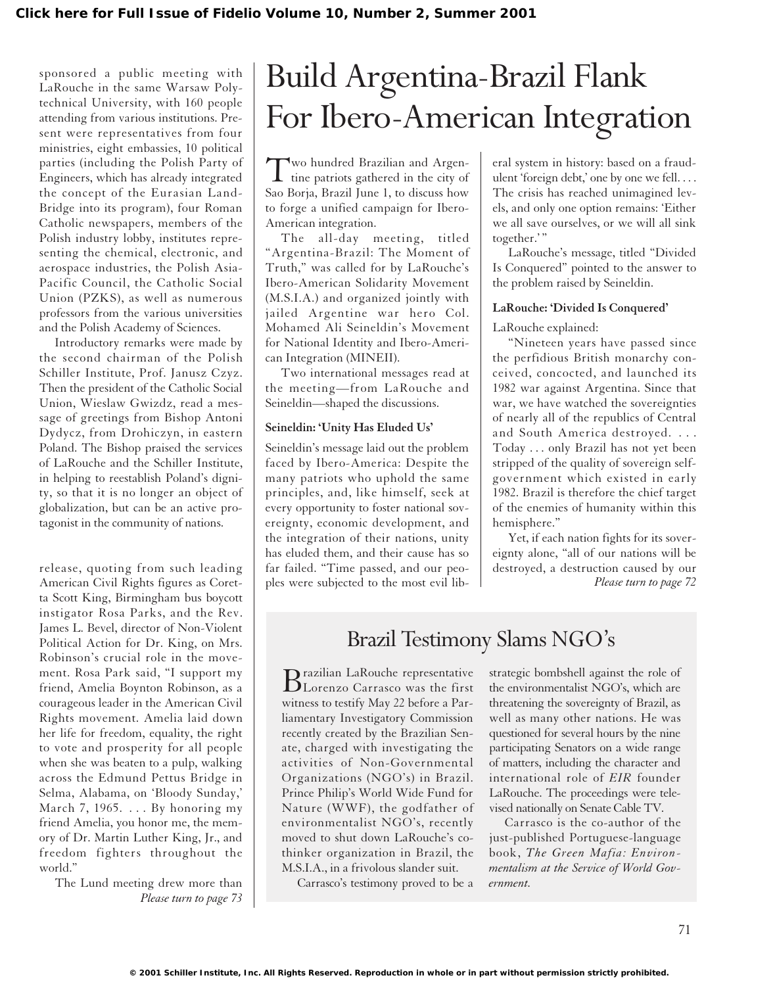sponsored a public meeting with LaRouche in the same Warsaw Polytechnical University, with 160 people attending from various institutions. Present were representatives from four ministries, eight embassies, 10 political parties (including the Polish Party of Engineers, which has already integrated the concept of the Eurasian Land-Bridge into its program), four Roman Catholic newspapers, members of the Polish industry lobby, institutes representing the chemical, electronic, and aerospace industries, the Polish Asia-Pacific Council, the Catholic Social Union (PZKS), as well as numerous professors from the various universities and the Polish Academy of Sciences.

Introductory remarks were made by the second chairman of the Polish Schiller Institute, Prof. Janusz Czyz. Then the president of the Catholic Social Union, Wieslaw Gwizdz, read a message of greetings from Bishop Antoni Dydycz, from Drohiczyn, in eastern Poland. The Bishop praised the services of LaRouche and the Schiller Institute, in helping to reestablish Poland's dignity, so that it is no longer an object of globalization, but can be an active protagonist in the community of nations.

release, quoting from such leading American Civil Rights figures as Coretta Scott King, Birmingham bus boycott instigator Rosa Parks, and the Rev. James L. Bevel, director of Non-Violent Political Action for Dr. King, on Mrs. Robinson's crucial role in the movement. Rosa Park said, "I support my friend, Amelia Boynton Robinson, as a courageous leader in the American Civil Rights movement. Amelia laid down her life for freedom, equality, the right to vote and prosperity for all people when she was beaten to a pulp, walking across the Edmund Pettus Bridge in Selma, Alabama, on 'Bloody Sunday,' March 7, 1965.  $\dots$  By honoring my friend Amelia, you honor me, the memory of Dr. Martin Luther King, Jr., and freedom fighters throughout the world."

The Lund meeting drew more than *Please turn to page 73*

# Build Argentina-Brazil Flank For Ibero-American Integration

Two hundred Brazilian and Argen-tine patriots gathered in the city of Sao Borja, Brazil June 1, to discuss how to forge a unified campaign for Ibero-American integration.

The all-day meeting, titled "Argentina-Brazil: The Moment of Truth," was called for by LaRouche's Ibero-American Solidarity Movement (M.S.I.A.) and organized jointly with jailed Argentine war hero Col. Mohamed Ali Seineldin's Movement for National Identity and Ibero-American Integration (MINEII).

Two international messages read at the meeting—from LaRouche and Seineldin—shaped the discussions.

#### **Seineldin: 'Unity Has Eluded Us'**

Seineldin's message laid out the problem faced by Ibero-America: Despite the many patriots who uphold the same principles, and, like himself, seek at every opportunity to foster national sovereignty, economic development, and the integration of their nations, unity has eluded them, and their cause has so far failed. "Time passed, and our peoples were subjected to the most evil liberal system in history: based on a fraudulent 'foreign debt,' one by one we fell. . . . The crisis has reached unimagined levels, and only one option remains: 'Either we all save ourselves, or we will all sink together."

LaRouche's message, titled "Divided Is Conquered" pointed to the answer to the problem raised by Seineldin.

### **LaRouche: 'Divided Is Conquered'**

LaRouche explained:

"Nineteen years have passed since the perfidious British monarchy conceived, concocted, and launched its 1982 war against Argentina. Since that war, we have watched the sovereignties of nearly all of the republics of Central and South America destroyed. . . . Today . . . only Brazil has not yet been stripped of the quality of sovereign selfgovernment which existed in early 1982. Brazil is therefore the chief target of the enemies of humanity within this hemisphere."

Yet, if each nation fights for its sovereignty alone, "all of our nations will be destroyed, a destruction caused by our *Please turn to page 72*

### Brazil Testimony Slams NGO's

Brazilian LaRouche representative Lorenzo Carrasco was the first witness to testify May 22 before a Parliamentary Investigatory Commission recently created by the Brazilian Senate, charged with investigating the activities of Non-Governmental Organizations (NGO's) in Brazil. Prince Philip's World Wide Fund for Nature (WWF), the godfather of environmentalist NGO's, recently moved to shut down LaRouche's cothinker organization in Brazil, the M.S.I.A., in a frivolous slander suit.

Carrasco's testimony proved to be a

strategic bombshell against the role of the environmentalist NGO's, which are threatening the sovereignty of Brazil, as well as many other nations. He was questioned for several hours by the nine participating Senators on a wide range of matters, including the character and international role of *EIR* founder LaRouche. The proceedings were televised nationally on Senate Cable TV.

Carrasco is the co-author of the just-published Portuguese-language book, *The Green Mafia: Environmentalism at the Service of World Government.*